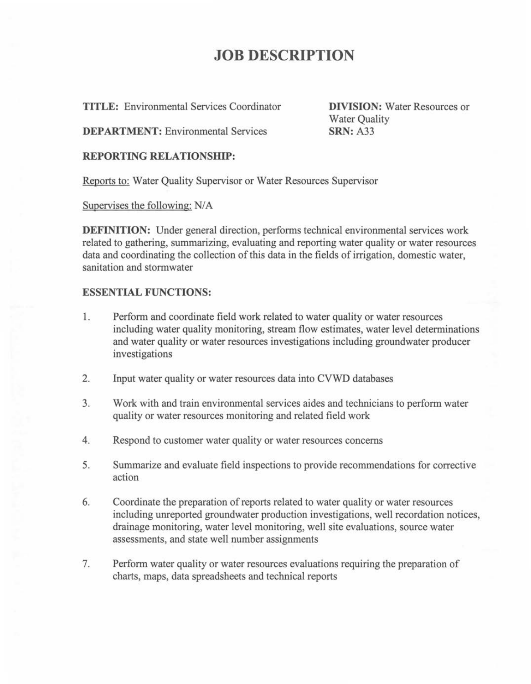# **JOB DESCRIPTION**

**TITLE:** Environmental Services Coordinator

**DIVISION:** Water Resources or Water Quality **SRN:** A33

**DEPARTMENT:** Environmental Services

## **REPORTING RELATIONSHIP:**

Reports to: Water Quality Supervisor or Water Resources Supervisor

Supervises the following: N/A

**DEFINITION:** Under general direction, performs technical environmental services work related to gathering, summarizing, evaluating and reporting water quality or water resources data and coordinating the collection of this data in the fields of irrigation, domestic water, sanitation and stormwater

## **ESSENTIAL FUNCTIONS:**

- 1. Perform and coordinate field work related to water quality or water resources including water quality monitoring, stream flow estimates, water level determinations and water quality or water resources investigations including groundwater producer investigations
- 2. Input water quality or water resources data into CVWD databases
- 3. Work with and train environmental services aides and technicians to perform water quality or water resources monitoring and related field work
- 4. Respond to customer water quality or water resources concerns
- 5. Summarize and evaluate field inspections to provide recommendations for corrective action
- 6. Coordinate the preparation of reports related to water quality or water resources including unreported groundwater production investigations, well recordation notices, drainage monitoring, water level monitoring, well site evaluations, source water assessments, and state well number assignments
- 7. Perform water quality or water resources evaluations requiring the preparation of charts, maps, data spreadsheets and technical reports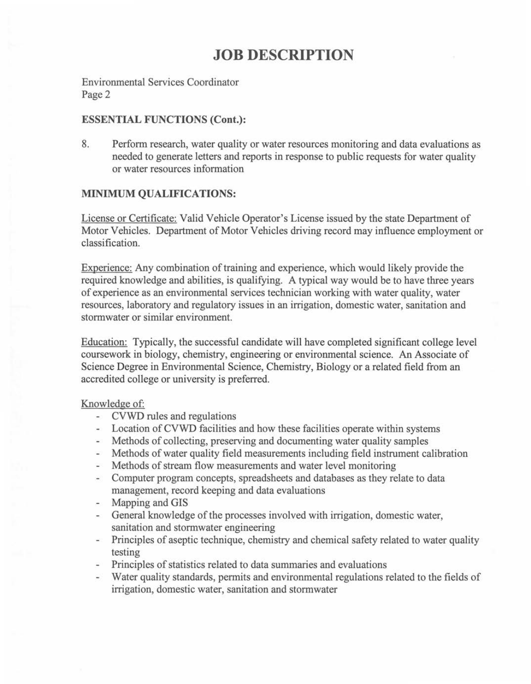# **JOB DESCRIPTION**

Environmental Services Coordinator Page 2

### **ESSENTIAL FUNCTIONS (Cont.):**

8. Perform research, water quality or water resources monitoring and data evaluations as needed to generate letters and reports in response to public requests for water quality or water resources information

## **MINIMUM QUALIFICATIONS:**

License or Certificate: Valid Vehicle Operator's License issued by the state Department of Motor Vehicles. Department of Motor Vehicles driving record may influence employment or classification.

Experience: Any combination of training and experience, which would likely provide the required knowledge and abilities, is qualifying. A typical way would be to have three years of experience as an environmental services technician working with water quality, water resources, laboratory and regulatory issues in an irrigation, domestic water, sanitation and stormwater or similar environment.

Education: Typically, the successful candidate will have completed significant college level coursework in biology, chemistry, engineering or environmental science. An Associate of Science Degree in Environmental Science, Chemistry, Biology or a related field from an accredited college or university is preferred.

#### Knowledge of:

- CVWD rules and regulations
- Location of CVWD facilities and how these facilities operate within systems
- Methods of collecting, preserving and documenting water quality samples
- Methods of water quality field measurements including field instrument calibration
- Methods of stream flow measurements and water level monitoring
- Computer program concepts, spreadsheets and databases as they relate to data management, record keeping and data evaluations
- Mapping and GIS
- General knowledge of the processes involved with irrigation, domestic water, sanitation and stormwater engineering
- Principles of aseptic technique, chemistry and chemical safety related to water quality testing
- Principles of statistics related to data summaries and evaluations
- Water quality standards, permits and environmental regulations related to the fields of irrigation, domestic water, sanitation and stormwater